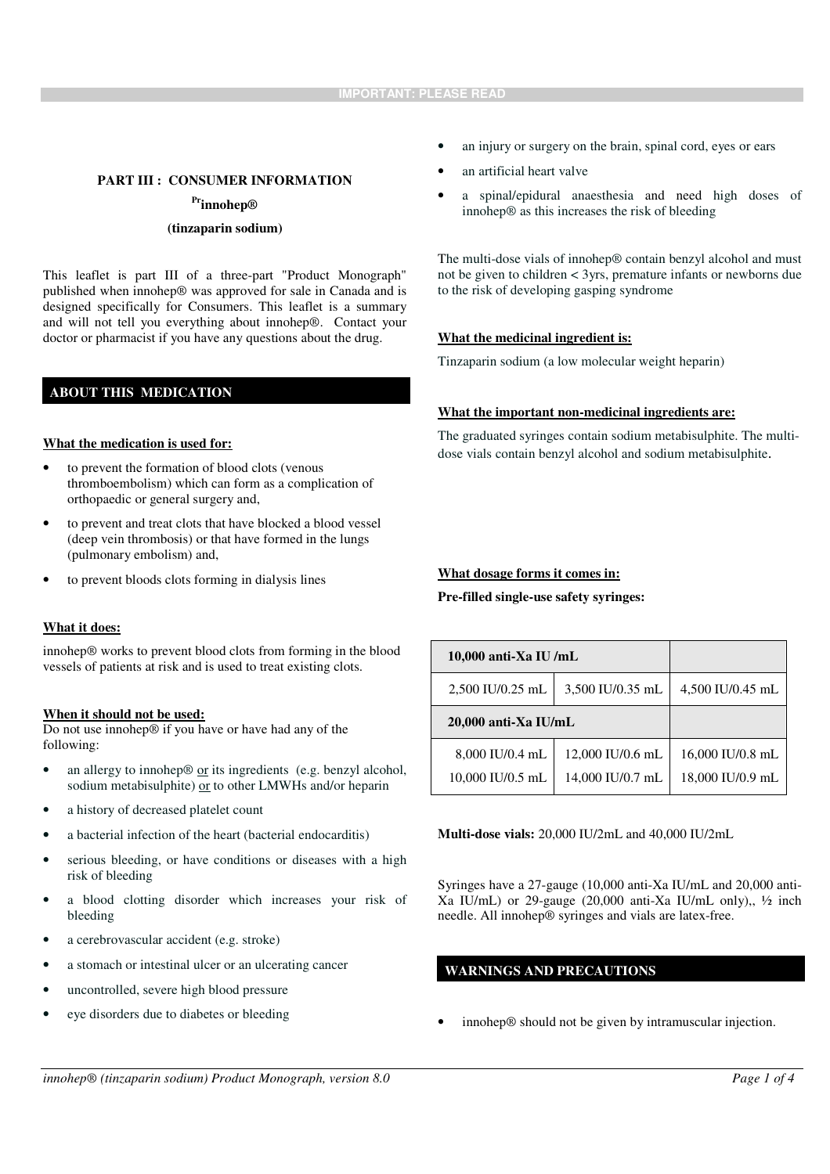### **PART III : CONSUMER INFORMATION**

### **Prinnohep®**

#### **(tinzaparin sodium)**

This leaflet is part III of a three-part "Product Monograph" published when innohep® was approved for sale in Canada and is designed specifically for Consumers. This leaflet is a summary and will not tell you everything about innohep®. Contact your doctor or pharmacist if you have any questions about the drug.

# **ABOUT THIS MEDICATION**

#### **What the medication is used for:**

- to prevent the formation of blood clots (venous thromboembolism) which can form as a complication of orthopaedic or general surgery and,
- to prevent and treat clots that have blocked a blood vessel (deep vein thrombosis) or that have formed in the lungs (pulmonary embolism) and,
- to prevent bloods clots forming in dialysis lines

#### **What it does:**

innohep® works to prevent blood clots from forming in the blood vessels of patients at risk and is used to treat existing clots.

### **When it should not be used:**

Do not use innohep® if you have or have had any of the following:

- an allergy to innohep® or its ingredients (e.g. benzyl alcohol, sodium metabisulphite) or to other LMWHs and/or heparin
- a history of decreased platelet count
- a bacterial infection of the heart (bacterial endocarditis)
- serious bleeding, or have conditions or diseases with a high risk of bleeding
- a blood clotting disorder which increases your risk of bleeding
- a cerebrovascular accident (e.g. stroke)
- a stomach or intestinal ulcer or an ulcerating cancer
- uncontrolled, severe high blood pressure
- eye disorders due to diabetes or bleeding
- an injury or surgery on the brain, spinal cord, eyes or ears
- an artificial heart valve
- a spinal/epidural anaesthesia and need high doses of innohep® as this increases the risk of bleeding

The multi-dose vials of innohep® contain benzyl alcohol and must not be given to children < 3yrs, premature infants or newborns due to the risk of developing gasping syndrome

## **What the medicinal ingredient is:**

Tinzaparin sodium (a low molecular weight heparin)

# **What the important non-medicinal ingredients are:**

The graduated syringes contain sodium metabisulphite. The multidose vials contain benzyl alcohol and sodium metabisulphite.

### **What dosage forms it comes in:**

**Pre-filled single-use safety syringes:** 

| 10,000 anti-Xa IU/mL                |                                      |                                      |
|-------------------------------------|--------------------------------------|--------------------------------------|
| 2,500 IU/0.25 mL                    | 3,500 IU/0.35 mL                     | 4,500 IU/0.45 mL                     |
| 20,000 anti-Xa IU/mL                |                                      |                                      |
| 8,000 IU/0.4 mL<br>10,000 IU/0.5 mL | 12,000 IU/0.6 mL<br>14,000 IU/0.7 mL | 16,000 IU/0.8 mL<br>18,000 IU/0.9 mL |

**Multi-dose vials:** 20,000 IU/2mL and 40,000 IU/2mL

Syringes have a 27-gauge (10,000 anti-Xa IU/mL and 20,000 anti-Xa IU/mL) or 29-gauge  $(20,000 \text{ anti-Xa IU/mL only})$ ,  $\frac{1}{2}$  inch needle. All innohep® syringes and vials are latex-free.

# **WARNINGS AND PRECAUTIONS**

innohep® should not be given by intramuscular injection.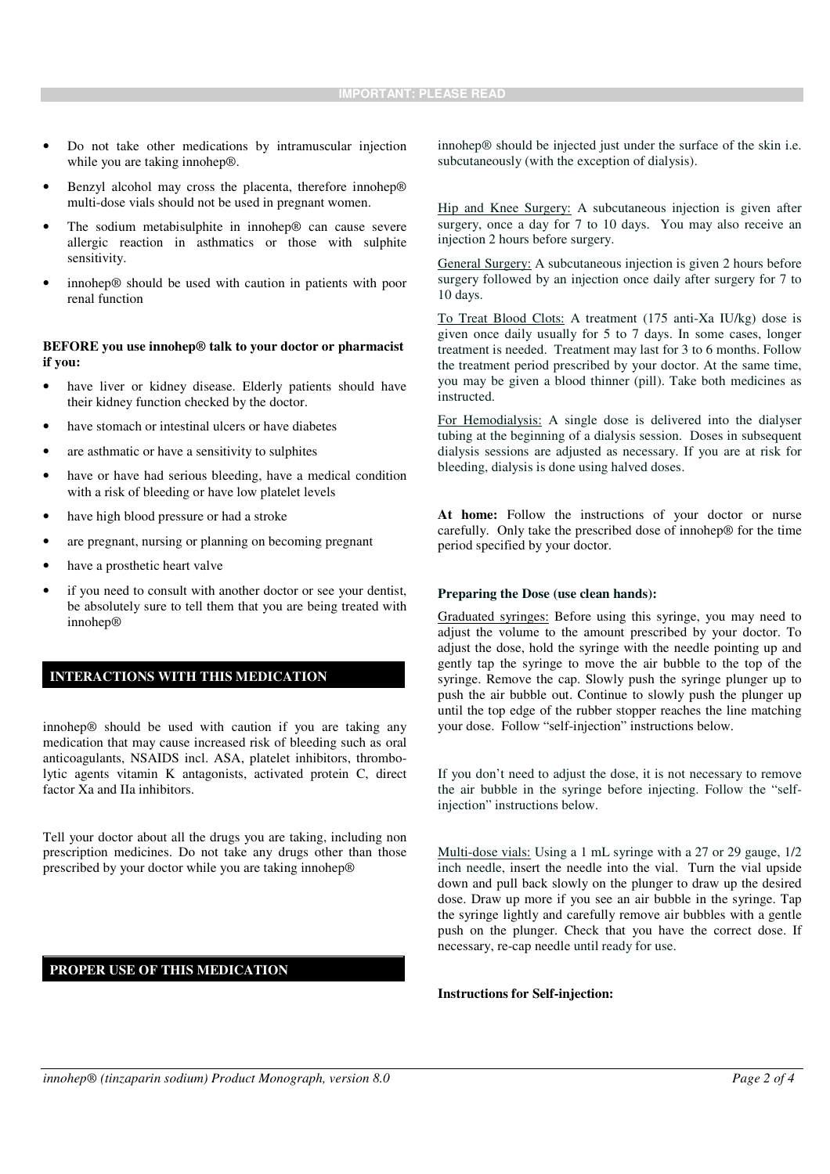- Do not take other medications by intramuscular injection while you are taking innohep®.
- Benzyl alcohol may cross the placenta, therefore innohep<sup>®</sup> multi-dose vials should not be used in pregnant women.
- The sodium metabisulphite in innohep<sup>®</sup> can cause severe allergic reaction in asthmatics or those with sulphite sensitivity.
- innohep® should be used with caution in patients with poor renal function

### **BEFORE you use innohep® talk to your doctor or pharmacist if you:**

- have liver or kidney disease. Elderly patients should have their kidney function checked by the doctor.
- have stomach or intestinal ulcers or have diabetes
- are asthmatic or have a sensitivity to sulphites
- have or have had serious bleeding, have a medical condition with a risk of bleeding or have low platelet levels
- have high blood pressure or had a stroke
- are pregnant, nursing or planning on becoming pregnant
- have a prosthetic heart valve
- if you need to consult with another doctor or see your dentist, be absolutely sure to tell them that you are being treated with innohep®

# **INTERACTIONS WITH THIS MEDICATION**

innohep® should be used with caution if you are taking any medication that may cause increased risk of bleeding such as oral anticoagulants, NSAIDS incl. ASA, platelet inhibitors, thrombolytic agents vitamin K antagonists, activated protein C, direct factor Xa and IIa inhibitors.

Tell your doctor about all the drugs you are taking, including non prescription medicines. Do not take any drugs other than those prescribed by your doctor while you are taking innohep®

# **PROPER USE OF THIS MEDICATION**

innohep® should be injected just under the surface of the skin i.e. subcutaneously (with the exception of dialysis).

Hip and Knee Surgery: A subcutaneous injection is given after surgery, once a day for 7 to 10 days. You may also receive an injection 2 hours before surgery.

General Surgery: A subcutaneous injection is given 2 hours before surgery followed by an injection once daily after surgery for 7 to 10 days.

To Treat Blood Clots: A treatment (175 anti-Xa IU/kg) dose is given once daily usually for 5 to 7 days. In some cases, longer treatment is needed. Treatment may last for 3 to 6 months. Follow the treatment period prescribed by your doctor. At the same time, you may be given a blood thinner (pill). Take both medicines as instructed.

For Hemodialysis: A single dose is delivered into the dialyser tubing at the beginning of a dialysis session. Doses in subsequent dialysis sessions are adjusted as necessary. If you are at risk for bleeding, dialysis is done using halved doses.

**At home:** Follow the instructions of your doctor or nurse carefully. Only take the prescribed dose of innohep® for the time period specified by your doctor.

#### **Preparing the Dose (use clean hands):**

Graduated syringes: Before using this syringe, you may need to adjust the volume to the amount prescribed by your doctor. To adjust the dose, hold the syringe with the needle pointing up and gently tap the syringe to move the air bubble to the top of the syringe. Remove the cap. Slowly push the syringe plunger up to push the air bubble out. Continue to slowly push the plunger up until the top edge of the rubber stopper reaches the line matching your dose. Follow "self-injection" instructions below.

If you don't need to adjust the dose, it is not necessary to remove the air bubble in the syringe before injecting. Follow the "selfinjection" instructions below.

Multi-dose vials: Using a 1 mL syringe with a 27 or 29 gauge, 1/2 inch needle, insert the needle into the vial. Turn the vial upside down and pull back slowly on the plunger to draw up the desired dose. Draw up more if you see an air bubble in the syringe. Tap the syringe lightly and carefully remove air bubbles with a gentle push on the plunger. Check that you have the correct dose. If necessary, re-cap needle until ready for use.

**Instructions for Self-injection:**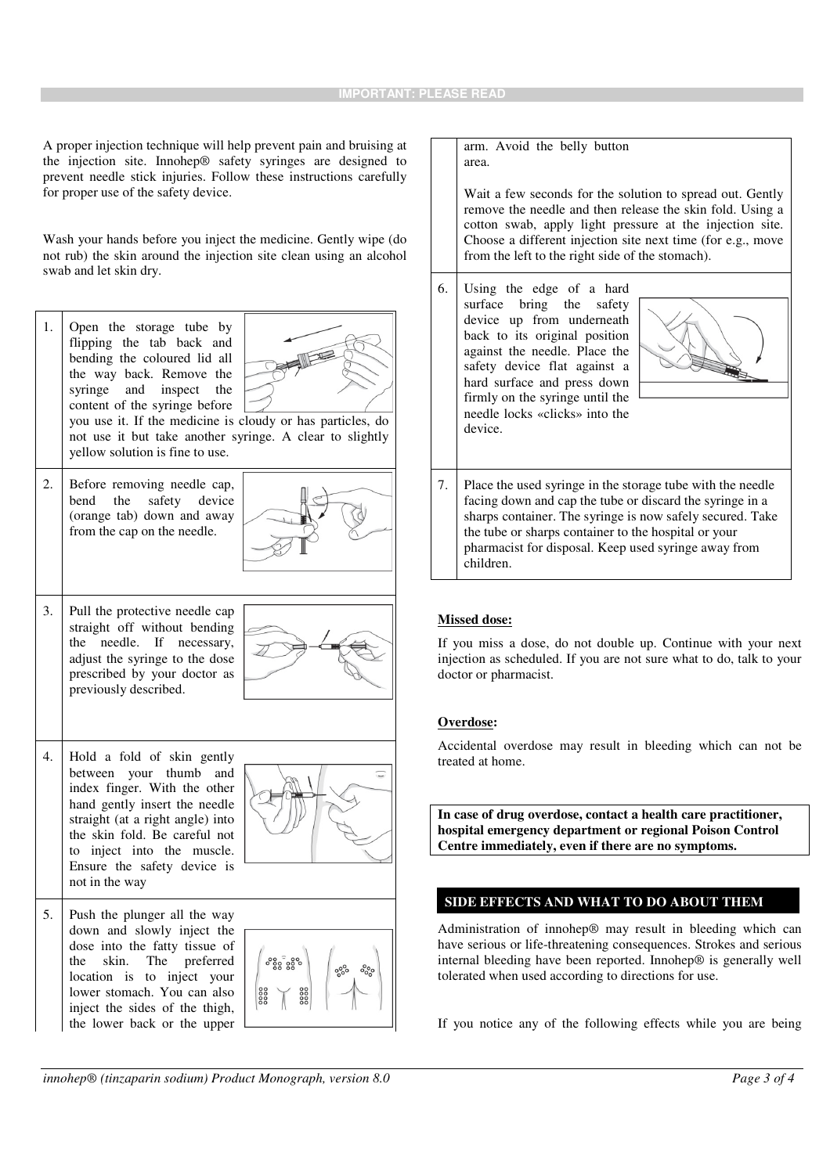A proper injection technique will help prevent pain and bruising at the injection site. Innohep® safety syringes are designed to prevent needle stick injuries. Follow these instructions carefully for proper use of the safety device.

Wash your hands before you inject the medicine. Gently wipe (do not rub) the skin around the injection site clean using an alcohol swab and let skin dry.

1. Open the storage tube by flipping the tab back and bending the coloured lid all the way back. Remove the syringe and inspect the content of the syringe before



you use it. If the medicine is cloudy or has particles, do not use it but take another syringe. A clear to slightly yellow solution is fine to use.

2. Before removing needle cap, bend the safety device (orange tab) down and away from the cap on the needle.



3. Pull the protective needle cap straight off without bending the needle. If necessary, adjust the syringe to the dose prescribed by your doctor as previously described.



4. Hold a fold of skin gently between your thumb and index finger. With the other hand gently insert the needle straight (at a right angle) into the skin fold. Be careful not to inject into the muscle. Ensure the safety device is not in the way



5. Push the plunger all the way down and slowly inject the dose into the fatty tissue of the skin. The preferred location is to inject your lower stomach. You can also inject the sides of the thigh, the lower back or the upper



arm. Avoid the belly button area.

Wait a few seconds for the solution to spread out. Gently remove the needle and then release the skin fold. Using a cotton swab, apply light pressure at the injection site. Choose a different injection site next time (for e.g., move from the left to the right side of the stomach).

6. Using the edge of a hard surface bring the safety device up from underneath back to its original position against the needle. Place the safety device flat against a hard surface and press down firmly on the syringe until the needle locks «clicks» into the device.



7. Place the used syringe in the storage tube with the needle facing down and cap the tube or discard the syringe in a sharps container. The syringe is now safely secured. Take the tube or sharps container to the hospital or your pharmacist for disposal. Keep used syringe away from children.

# **Missed dose:**

If you miss a dose, do not double up. Continue with your next injection as scheduled. If you are not sure what to do, talk to your doctor or pharmacist.

# **Overdose:**

Accidental overdose may result in bleeding which can not be treated at home.

**In case of drug overdose, contact a health care practitioner, hospital emergency department or regional Poison Control Centre immediately, even if there are no symptoms.** 

# **SIDE EFFECTS AND WHAT TO DO ABOUT THEM**

Administration of innohep® may result in bleeding which can have serious or life-threatening consequences. Strokes and serious internal bleeding have been reported. Innohep® is generally well tolerated when used according to directions for use.

If you notice any of the following effects while you are being